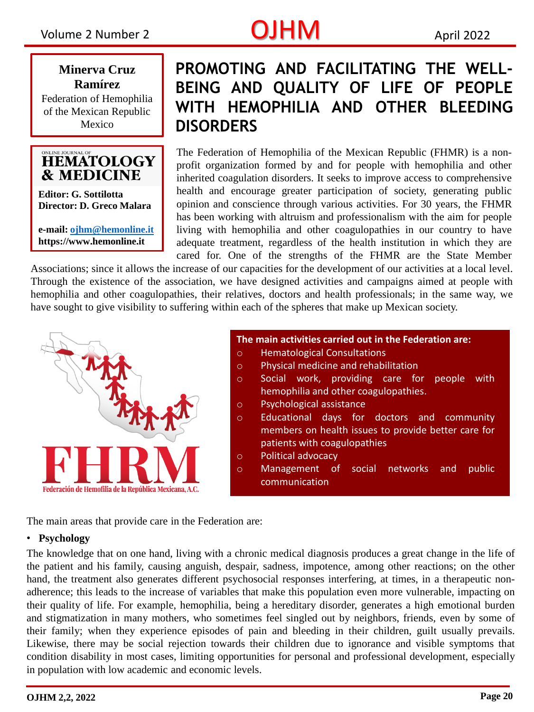# Volume 2 Number 2 **CUHM** April 2022

**Minerva Cruz Ramírez** Federation of Hemophilia

of the Mexican Republic Mexico



**Editor: G. Sottilotta Director: D. Greco Malara**

**e-mail: [ojhm@hemonline.it](mailto:ojhm@hemonline.it) https://www.hemonline.it** 

### **PROMOTING AND FACILITATING THE WELL-BEING AND QUALITY OF LIFE OF PEOPLE WITH HEMOPHILIA AND OTHER BLEEDING DISORDERS**

The Federation of Hemophilia of the Mexican Republic (FHMR) is a nonprofit organization formed by and for people with hemophilia and other inherited coagulation disorders. It seeks to improve access to comprehensive health and encourage greater participation of society, generating public opinion and conscience through various activities. For 30 years, the FHMR has been working with altruism and professionalism with the aim for people living with hemophilia and other coagulopathies in our country to have adequate treatment, regardless of the health institution in which they are cared for. One of the strengths of the FHMR are the State Member

Associations; Associations; since it allows the increase of our capacities for the development of our activities at a local level. Through the existence of the association, we have designed activities and campaigns aimed at people with hemophilia and other coagulopathies, their relatives, doctors and health professionals; in the same way, we have sought to give visibility to suffering within each of the spheres that make up Mexican society.



| $\circ$    | <b>Hematological Consultations</b>                  |
|------------|-----------------------------------------------------|
| $\circ$    | Physical medicine and rehabilitation                |
| $\circ$    | Social work, providing care for people<br>with      |
|            | hemophilia and other coagulopathies.                |
| $\circ$    | Psychological assistance                            |
| $\circ$    | Educational days for doctors and community          |
|            | members on health issues to provide better care for |
|            | patients with coagulopathies                        |
|            |                                                     |
| $\bigcirc$ | <b>Political advocacy</b>                           |
| $\circ$    | Management of social networks and<br>public         |
|            | communication                                       |

The main areas that provide care in the Federation are:

### • **Psychology**

The knowledge that on one hand, living with a chronic medical diagnosis produces a great change in the life of the patient and his family, causing anguish, despair, sadness, impotence, among other reactions; on the other hand, the treatment also generates different psychosocial responses interfering, at times, in a therapeutic nonadherence; this leads to the increase of variables that make this population even more vulnerable, impacting on their quality of life. For example, hemophilia, being a hereditary disorder, generates a high emotional burden and stigmatization in many mothers, who sometimes feel singled out by neighbors, friends, even by some of their family; when they experience episodes of pain and bleeding in their children, guilt usually prevails. Likewise, there may be social rejection towards their children due to ignorance and visible symptoms that condition disability in most cases, limiting opportunities for personal and professional development, especially in population with low academic and economic levels.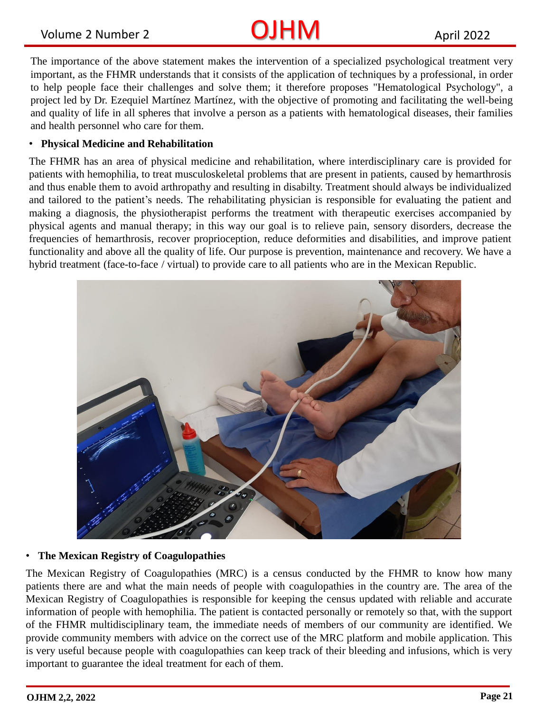# Volume 2 Number 2 **CUHM** April 2022

The importance of the above statement makes the intervention of a specialized psychological treatment very important, as the FHMR understands that it consists of the application of techniques by a professional, in order to help people face their challenges and solve them; it therefore proposes "Hematological Psychology", a project led by Dr. Ezequiel Martínez Martínez, with the objective of promoting and facilitating the well-being and quality of life in all spheres that involve a person as a patients with hematological diseases, their families and health personnel who care for them.

#### • **Physical Medicine and Rehabilitation**

The FHMR has an area of physical medicine and rehabilitation, where interdisciplinary care is provided for patients with hemophilia, to treat musculoskeletal problems that are present in patients, caused by hemarthrosis and thus enable them to avoid arthropathy and resulting in disabilty. Treatment should always be individualized and tailored to the patient's needs. The rehabilitating physician is responsible for evaluating the patient and making a diagnosis, the physiotherapist performs the treatment with therapeutic exercises accompanied by physical agents and manual therapy; in this way our goal is to relieve pain, sensory disorders, decrease the frequencies of hemarthrosis, recover proprioception, reduce deformities and disabilities, and improve patient functionality and above all the quality of life. Our purpose is prevention, maintenance and recovery. We have a hybrid treatment (face-to-face / virtual) to provide care to all patients who are in the Mexican Republic.



### • **The Mexican Registry of Coagulopathies**

The Mexican Registry of Coagulopathies (MRC) is a census conducted by the FHMR to know how many patients there are and what the main needs of people with coagulopathies in the country are. The area of the Mexican Registry of Coagulopathies is responsible for keeping the census updated with reliable and accurate information of people with hemophilia. The patient is contacted personally or remotely so that, with the support of the FHMR multidisciplinary team, the immediate needs of members of our community are identified. We provide community members with advice on the correct use of the MRC platform and mobile application. This is very useful because people with coagulopathies can keep track of their bleeding and infusions, which is very important to guarantee the ideal treatment for each of them.